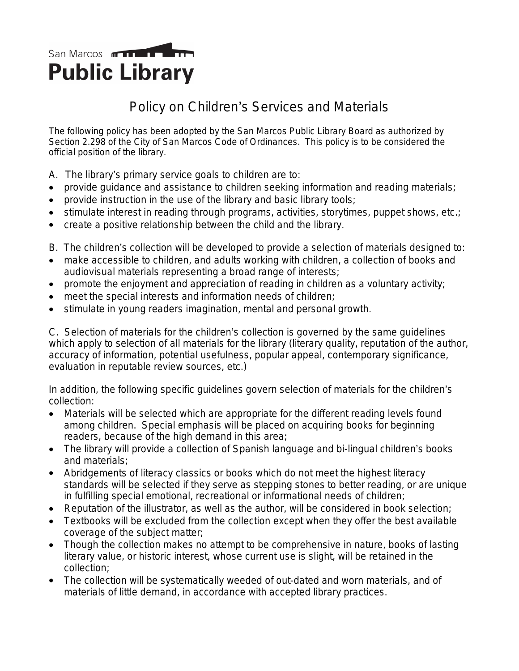## San Marcos **manual and the Tomar Public Library**

## Policy on Children's Services and Materials

*The following policy has been adopted by the San Marcos Public Library Board as authorized by Section 2.298 of the City of San Marcos Code of Ordinances. This policy is to be considered the official position of the library.*

- A. The library's primary service goals to children are to:
- provide guidance and assistance to children seeking information and reading materials;
- provide instruction in the use of the library and basic library tools;
- $\bullet$  stimulate interest in reading through programs, activities, storytimes, puppet shows, etc.;
- create a positive relationship between the child and the library.
- B. The children's collection will be developed to provide a selection of materials designed to:
- make accessible to children, and adults working with children, a collection of books and audiovisual materials representing a broad range of interests;
- promote the enjoyment and appreciation of reading in children as a voluntary activity;
- meet the special interests and information needs of children;
- stimulate in young readers imagination, mental and personal growth.

C. Selection of materials for the children's collection is governed by the same guidelines which apply to selection of all materials for the library (literary quality, reputation of the author, accuracy of information, potential usefulness, popular appeal, contemporary significance, evaluation in reputable review sources, etc.)

In addition, the following specific guidelines govern selection of materials for the children's collection:

- Materials will be selected which are appropriate for the different reading levels found among children. Special emphasis will be placed on acquiring books for beginning readers, because of the high demand in this area;
- The library will provide a collection of Spanish language and bi-lingual children's books and materials;
- Abridgements of literacy classics or books which do not meet the highest literacy standards will be selected if they serve as stepping stones to better reading, or are unique in fulfilling special emotional, recreational or informational needs of children;
- Reputation of the illustrator, as well as the author, will be considered in book selection;
- Textbooks will be excluded from the collection except when they offer the best available coverage of the subject matter;
- Though the collection makes no attempt to be comprehensive in nature, books of lasting literary value, or historic interest, whose current use is slight, will be retained in the collection;
- The collection will be systematically weeded of out-dated and worn materials, and of materials of little demand, in accordance with accepted library practices.